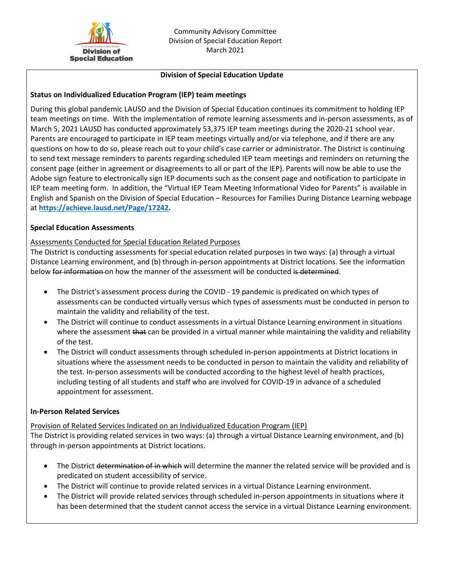

## **Division of Special Education Update**

# **Status on Individualized Education Program (IEP) team meetings**

During this global pandemic LAUSD and the Division of Special Education continues its commitment to holding IEP team meetings on time. With the implementation of remote learning assessments and in-person assessments, as of March 5, 2021 LAUSD has conducted approximately 53,375 IEP team meetings during the 2020-21 school year. Parents are encouraged to participate in IEP team meetings virtually and/or via telephone, and if there are any questions on how to do so, please reach out to your child's case carrier or administrator. The District is continuing to send text message reminders to parents regarding scheduled IEP team meetings and reminders on returning the consent page (either in agreement or disagreements to all or part of the IEP). Parents will now be able to use the Adobe sign feature to electronically sign IEP documents such as the consent page and notification to participate in IEP team meeting form. In addition, the "Virtual IEP Team Meeting Informational Video for Parents" is available in English and Spanish on the Division of Special Education – Resources for Families During Distance Learning webpage at **[https://achieve.lausd.net/Page/17242.](https://achieve.lausd.net/Page/17242)** 

## **Special Education Assessments**

## Assessments Conducted for Special Education Related Purposes

The District is conducting assessments for special education related purposes in two ways: (a) through a virtual Distance Learning environment, and (b) through in-person appointments at District locations. See the information below for information on how the manner of the assessment will be conducted is determined.

- The District's assessment process during the COVID 19 pandemic is predicated on which types of assessments can be conducted virtually versus which types of assessments must be conducted in person to maintain the validity and reliability of the test.
- The District will continue to conduct assessments in a virtual Distance Learning environment in situations where the assessment that can be provided in a virtual manner while maintaining the validity and reliability of the test.
- The District will conduct assessments through scheduled in-person appointments at District locations in situations where the assessment needs to be conducted in person to maintain the validity and reliability of the test. In-person assessments will be conducted according to the highest level of health practices, including testing of all students and staff who are involved for COVID-19 in advance of a scheduled appointment for assessment.

## **In-Person Related Services**

Provision of Related Services Indicated on an Individualized Education Program (IEP) The District is providing related services in two ways: (a) through a virtual Distance Learning environment, and (b) through in-person appointments at District locations.

- The District determination of in which will determine the manner the related service will be provided and is predicated on student accessibility of service.
- The District will continue to provide related services in a virtual Distance Learning environment.
- The District will provide related services through scheduled in-person appointments in situations where it has been determined that the student cannot access the service in a virtual Distance Learning environment.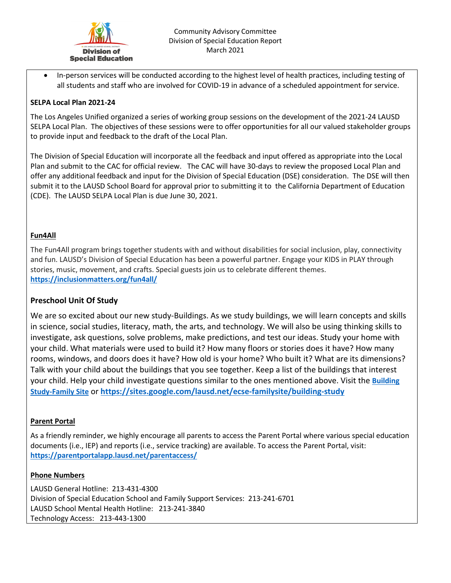

• In-person services will be conducted according to the highest level of health practices, including testing of all students and staff who are involved for COVID-19 in advance of a scheduled appointment for service.

# **SELPA Local Plan 2021-24**

The Los Angeles Unified organized a series of working group sessions on the development of the 2021-24 LAUSD SELPA Local Plan. The objectives of these sessions were to offer opportunities for all our valued stakeholder groups to provide input and feedback to the draft of the Local Plan.

The Division of Special Education will incorporate all the feedback and input offered as appropriate into the Local Plan and submit to the CAC for official review. The CAC will have 30-days to review the proposed Local Plan and offer any additional feedback and input for the Division of Special Education (DSE) consideration. The DSE will then submit it to the LAUSD School Board for approval prior to submitting it to the California Department of Education (CDE). The LAUSD SELPA Local Plan is due June 30, 2021.

## **Fun4All**

The Fun4All program brings together students with and without disabilities for social inclusion, play, connectivity and fun. LAUSD's Division of Special Education has been a powerful partner. Engage your KIDS in PLAY through stories, music, movement, and crafts. Special guests join us to celebrate different themes. **<https://inclusionmatters.org/fun4all/>**

## **Preschool Unit Of Study**

We are so excited about our new study-Buildings. As we study buildings, we will learn concepts and skills in science, social studies, literacy, math, the arts, and technology. We will also be using thinking skills to investigate, ask questions, solve problems, make predictions, and test our ideas. Study your home with your child. What materials were used to build it? How many floors or stories does it have? How many rooms, windows, and doors does it have? How old is your home? Who built it? What are its dimensions? Talk with your child about the buildings that you see together. Keep a list of the buildings that interest your child. Help your child investigate questions similar to the ones mentioned above. Visit the **[Building](https://sites.google.com/lausd.net/ecse-familysite/building-study)  [Study-Family Site](https://sites.google.com/lausd.net/ecse-familysite/building-study)** or **<https://sites.google.com/lausd.net/ecse-familysite/building-study>**

## **Parent Portal**

As a friendly reminder, we highly encourage all parents to access the Parent Portal where various special education documents (i.e., IEP) and reports (i.e., service tracking) are available. To access the Parent Portal, visit: **<https://parentportalapp.lausd.net/parentaccess/>**

## **Phone Numbers**

LAUSD General Hotline: 213-431-4300 Division of Special Education School and Family Support Services: 213-241-6701 LAUSD School Mental Health Hotline: 213-241-3840 Technology Access: 213-443-1300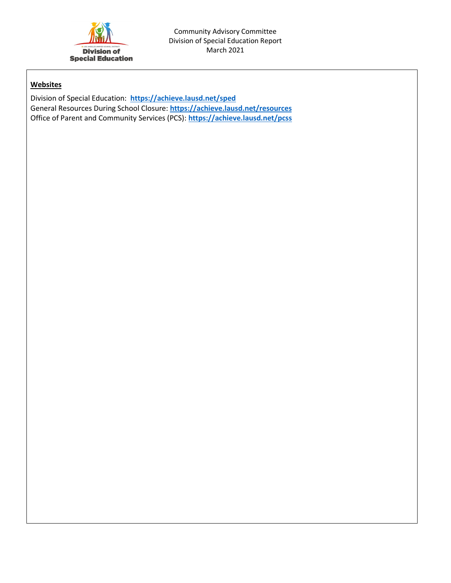

# **Websites**

Division of Special Education: **<https://achieve.lausd.net/sped>** General Resources During School Closure: **<https://achieve.lausd.net/resources>** Office of Parent and Community Services (PCS): **<https://achieve.lausd.net/pcss>**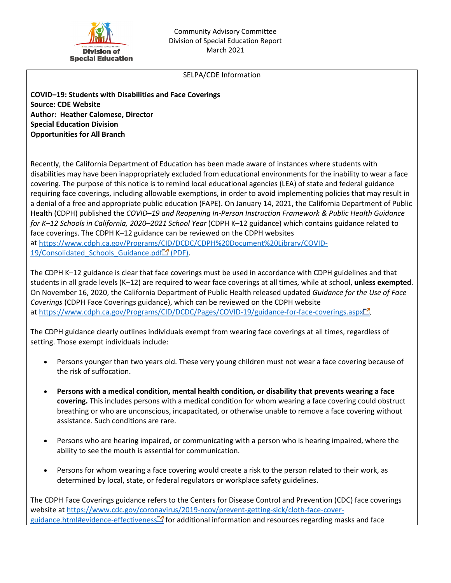

## SELPA/CDE Information

**COVID–19: Students with Disabilities and Face Coverings Source: CDE Website Author: Heather Calomese, Director Special Education Division Opportunities for All Branch**

Recently, the California Department of Education has been made aware of instances where students with disabilities may have been inappropriately excluded from educational environments for the inability to wear a face covering. The purpose of this notice is to remind local educational agencies (LEA) of state and federal guidance requiring face coverings, including allowable exemptions, in order to avoid implementing policies that may result in a denial of a free and appropriate public education (FAPE). On January 14, 2021, the California Department of Public Health (CDPH) published the *COVID–19 and Reopening In-Person Instruction Framework & Public Health Guidance for K–12 Schools in California, 2020–2021 School Year* (CDPH K–12 guidance) which contains guidance related to face coverings. The CDPH K–12 guidance can be reviewed on the CDPH websites at [https://www.cdph.ca.gov/Programs/CID/DCDC/CDPH%20Document%20Library/COVID-](https://www.cdph.ca.gov/Programs/CID/DCDC/CDPH%20Document%20Library/COVID-19/Consolidated_Schools_Guidance.pdf)19/Consolidated Schools Guidance.pdf $\Box$  (PDF).

The CDPH K–12 guidance is clear that face coverings must be used in accordance with CDPH guidelines and that students in all grade levels (K–12) are required to wear face coverings at all times, while at school, **unless exempted**. On November 16, 2020, the California Department of Public Health released updated *Guidance for the Use of Face Coverings* (CDPH Face Coverings guidance), which can be reviewed on the CDPH website at <https://www.cdph.ca.gov/Programs/CID/DCDC/Pages/COVID-19/guidance-for-face-coverings.aspx><sup>2</sup>.

The CDPH guidance clearly outlines individuals exempt from wearing face coverings at all times, regardless of setting. Those exempt individuals include:

- Persons younger than two years old. These very young children must not wear a face covering because of the risk of suffocation.
- **Persons with a medical condition, mental health condition, or disability that prevents wearing a face covering.** This includes persons with a medical condition for whom wearing a face covering could obstruct breathing or who are unconscious, incapacitated, or otherwise unable to remove a face covering without assistance. Such conditions are rare.
- Persons who are hearing impaired, or communicating with a person who is hearing impaired, where the ability to see the mouth is essential for communication.
- Persons for whom wearing a face covering would create a risk to the person related to their work, as determined by local, state, or federal regulators or workplace safety guidelines.

The CDPH Face Coverings guidance refers to the Centers for Disease Control and Prevention (CDC) face coverings website at [https://www.cdc.gov/coronavirus/2019-ncov/prevent-getting-sick/cloth-face-cover](https://www.cdc.gov/coronavirus/2019-ncov/prevent-getting-sick/cloth-face-cover-guidance.html#evidence-effectiveness)[guidance.html#evidence-effectiveness](https://www.cdc.gov/coronavirus/2019-ncov/prevent-getting-sick/cloth-face-cover-guidance.html#evidence-effectiveness) for additional information and resources regarding masks and face